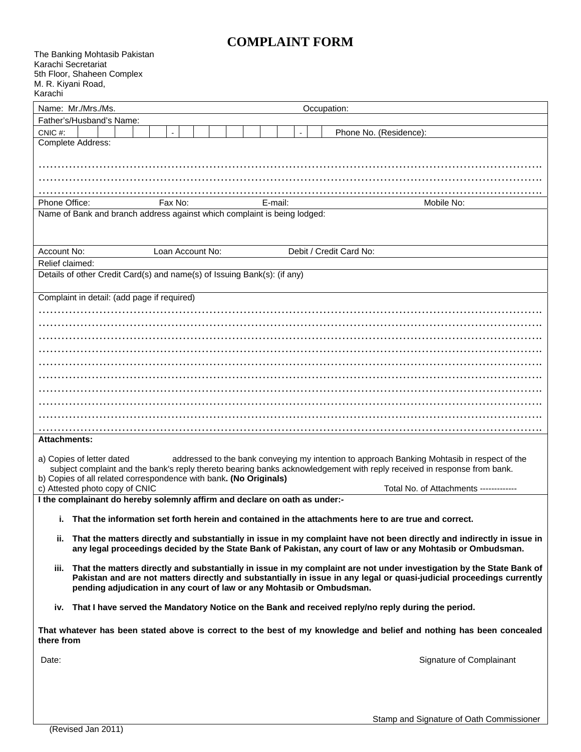# **COMPLAINT FORM**

| Karachi                                                                                                                                                                                                                                                                                                                                                                                              | The Banking Mohtasib Pakistan<br>Karachi Secretariat<br>5th Floor, Shaheen Complex<br>M. R. Kiyani Road,                                                                                                                              |
|------------------------------------------------------------------------------------------------------------------------------------------------------------------------------------------------------------------------------------------------------------------------------------------------------------------------------------------------------------------------------------------------------|---------------------------------------------------------------------------------------------------------------------------------------------------------------------------------------------------------------------------------------|
|                                                                                                                                                                                                                                                                                                                                                                                                      | Name: Mr./Mrs./Ms.<br>Occupation:                                                                                                                                                                                                     |
|                                                                                                                                                                                                                                                                                                                                                                                                      | Father's/Husband's Name:                                                                                                                                                                                                              |
| CNIC#:                                                                                                                                                                                                                                                                                                                                                                                               | Phone No. (Residence):<br>Complete Address:                                                                                                                                                                                           |
|                                                                                                                                                                                                                                                                                                                                                                                                      |                                                                                                                                                                                                                                       |
|                                                                                                                                                                                                                                                                                                                                                                                                      |                                                                                                                                                                                                                                       |
|                                                                                                                                                                                                                                                                                                                                                                                                      |                                                                                                                                                                                                                                       |
| Phone Office:                                                                                                                                                                                                                                                                                                                                                                                        | Fax No:<br>Mobile No:<br>E-mail:                                                                                                                                                                                                      |
|                                                                                                                                                                                                                                                                                                                                                                                                      | Name of Bank and branch address against which complaint is being lodged:                                                                                                                                                              |
|                                                                                                                                                                                                                                                                                                                                                                                                      |                                                                                                                                                                                                                                       |
|                                                                                                                                                                                                                                                                                                                                                                                                      |                                                                                                                                                                                                                                       |
| Account No:                                                                                                                                                                                                                                                                                                                                                                                          | Loan Account No:<br>Debit / Credit Card No:                                                                                                                                                                                           |
| Relief claimed:                                                                                                                                                                                                                                                                                                                                                                                      |                                                                                                                                                                                                                                       |
|                                                                                                                                                                                                                                                                                                                                                                                                      | Details of other Credit Card(s) and name(s) of Issuing Bank(s): (if any)                                                                                                                                                              |
|                                                                                                                                                                                                                                                                                                                                                                                                      |                                                                                                                                                                                                                                       |
|                                                                                                                                                                                                                                                                                                                                                                                                      | Complaint in detail: (add page if required)                                                                                                                                                                                           |
|                                                                                                                                                                                                                                                                                                                                                                                                      |                                                                                                                                                                                                                                       |
|                                                                                                                                                                                                                                                                                                                                                                                                      |                                                                                                                                                                                                                                       |
|                                                                                                                                                                                                                                                                                                                                                                                                      |                                                                                                                                                                                                                                       |
|                                                                                                                                                                                                                                                                                                                                                                                                      |                                                                                                                                                                                                                                       |
|                                                                                                                                                                                                                                                                                                                                                                                                      |                                                                                                                                                                                                                                       |
|                                                                                                                                                                                                                                                                                                                                                                                                      |                                                                                                                                                                                                                                       |
|                                                                                                                                                                                                                                                                                                                                                                                                      |                                                                                                                                                                                                                                       |
|                                                                                                                                                                                                                                                                                                                                                                                                      |                                                                                                                                                                                                                                       |
|                                                                                                                                                                                                                                                                                                                                                                                                      |                                                                                                                                                                                                                                       |
|                                                                                                                                                                                                                                                                                                                                                                                                      |                                                                                                                                                                                                                                       |
| <b>Attachments:</b>                                                                                                                                                                                                                                                                                                                                                                                  |                                                                                                                                                                                                                                       |
| addressed to the bank conveying my intention to approach Banking Mohtasib in respect of the<br>a) Copies of letter dated<br>subject complaint and the bank's reply thereto bearing banks acknowledgement with reply received in response from bank.<br>b) Copies of all related correspondence with bank. (No Originals)<br>c) Attested photo copy of CNIC<br>Total No. of Attachments ------------- |                                                                                                                                                                                                                                       |
|                                                                                                                                                                                                                                                                                                                                                                                                      | I the complainant do hereby solemnly affirm and declare on oath as under:-                                                                                                                                                            |
|                                                                                                                                                                                                                                                                                                                                                                                                      | i. That the information set forth herein and contained in the attachments here to are true and correct.                                                                                                                               |
| ii.                                                                                                                                                                                                                                                                                                                                                                                                  | That the matters directly and substantially in issue in my complaint have not been directly and indirectly in issue in<br>any legal proceedings decided by the State Bank of Pakistan, any court of law or any Mohtasib or Ombudsman. |
|                                                                                                                                                                                                                                                                                                                                                                                                      | iii. That the matters directly and substantially in issue in my complaint are not under investigation by the State Bank of                                                                                                            |
|                                                                                                                                                                                                                                                                                                                                                                                                      | Pakistan and are not matters directly and substantially in issue in any legal or quasi-judicial proceedings currently<br>pending adjudication in any court of law or any Mohtasib or Ombudsman.                                       |
|                                                                                                                                                                                                                                                                                                                                                                                                      | iv. That I have served the Mandatory Notice on the Bank and received reply/no reply during the period.                                                                                                                                |
| That whatever has been stated above is correct to the best of my knowledge and belief and nothing has been concealed<br>there from                                                                                                                                                                                                                                                                   |                                                                                                                                                                                                                                       |
| Date:                                                                                                                                                                                                                                                                                                                                                                                                | Signature of Complainant                                                                                                                                                                                                              |
|                                                                                                                                                                                                                                                                                                                                                                                                      |                                                                                                                                                                                                                                       |
|                                                                                                                                                                                                                                                                                                                                                                                                      |                                                                                                                                                                                                                                       |
|                                                                                                                                                                                                                                                                                                                                                                                                      |                                                                                                                                                                                                                                       |